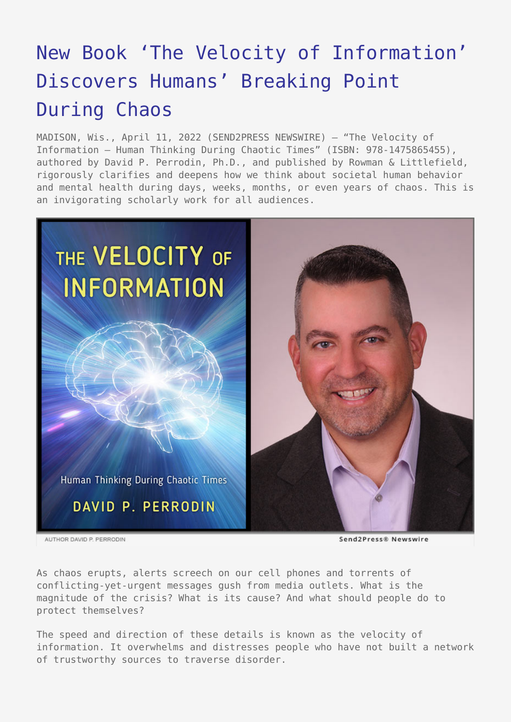## [New Book 'The Velocity of Information'](https://www.send2press.com/wire/new-book-the-velocity-of-information-discovers-humans-breaking-point-during-chaos/) [Discovers Humans' Breaking Point](https://www.send2press.com/wire/new-book-the-velocity-of-information-discovers-humans-breaking-point-during-chaos/) [During Chaos](https://www.send2press.com/wire/new-book-the-velocity-of-information-discovers-humans-breaking-point-during-chaos/)

MADISON, Wis., April 11, 2022 (SEND2PRESS NEWSWIRE) — "The Velocity of Information – Human Thinking During Chaotic Times" (ISBN: 978-1475865455), authored by David P. Perrodin, Ph.D., and published by Rowman & Littlefield, rigorously clarifies and deepens how we think about societal human behavior and mental health during days, weeks, months, or even years of chaos. This is an invigorating scholarly work for all audiences.



AUTHOR DAVID P. PERRODIN

Send2Press® Newswire

As chaos erupts, alerts screech on our cell phones and torrents of conflicting-yet-urgent messages gush from media outlets. What is the magnitude of the crisis? What is its cause? And what should people do to protect themselves?

The speed and direction of these details is known as the velocity of information. It overwhelms and distresses people who have not built a network of trustworthy sources to traverse disorder.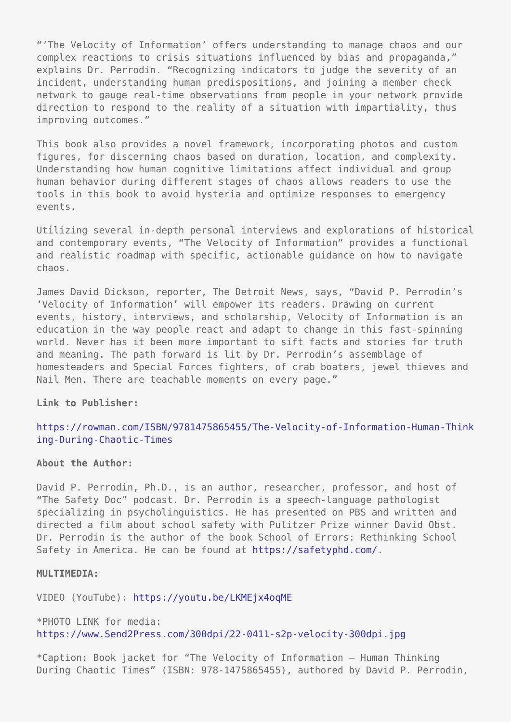"'The Velocity of Information' offers understanding to manage chaos and our complex reactions to crisis situations influenced by bias and propaganda," explains Dr. Perrodin. "Recognizing indicators to judge the severity of an incident, understanding human predispositions, and joining a member check network to gauge real-time observations from people in your network provide direction to respond to the reality of a situation with impartiality, thus improving outcomes."

This book also provides a novel framework, incorporating photos and custom figures, for discerning chaos based on duration, location, and complexity. Understanding how human cognitive limitations affect individual and group human behavior during different stages of chaos allows readers to use the tools in this book to avoid hysteria and optimize responses to emergency events.

Utilizing several in-depth personal interviews and explorations of historical and contemporary events, "The Velocity of Information" provides a functional and realistic roadmap with specific, actionable guidance on how to navigate chaos.

James David Dickson, reporter, The Detroit News, says, "David P. Perrodin's 'Velocity of Information' will empower its readers. Drawing on current events, history, interviews, and scholarship, Velocity of Information is an education in the way people react and adapt to change in this fast-spinning world. Never has it been more important to sift facts and stories for truth and meaning. The path forward is lit by Dr. Perrodin's assemblage of homesteaders and Special Forces fighters, of crab boaters, jewel thieves and Nail Men. There are teachable moments on every page."

**Link to Publisher:**

## [https://rowman.com/ISBN/9781475865455/The-Velocity-of-Information-Human-Think](https://rowman.com/ISBN/9781475865455/The-Velocity-of-Information-Human-Thinking-During-Chaotic-Times) [ing-During-Chaotic-Times](https://rowman.com/ISBN/9781475865455/The-Velocity-of-Information-Human-Thinking-During-Chaotic-Times)

## **About the Author:**

David P. Perrodin, Ph.D., is an author, researcher, professor, and host of "The Safety Doc" podcast. Dr. Perrodin is a speech-language pathologist specializing in psycholinguistics. He has presented on PBS and written and directed a film about school safety with Pulitzer Prize winner David Obst. Dr. Perrodin is the author of the book School of Errors: Rethinking School Safety in America. He can be found at [https://safetyphd.com/.](https://safetyphd.com/)

## **MULTIMEDIA:**

VIDEO (YouTube):<https://youtu.be/LKMEjx4oqME>

\*PHOTO LINK for media: <https://www.Send2Press.com/300dpi/22-0411-s2p-velocity-300dpi.jpg>

\*Caption: Book jacket for "The Velocity of Information – Human Thinking During Chaotic Times" (ISBN: 978-1475865455), authored by David P. Perrodin,